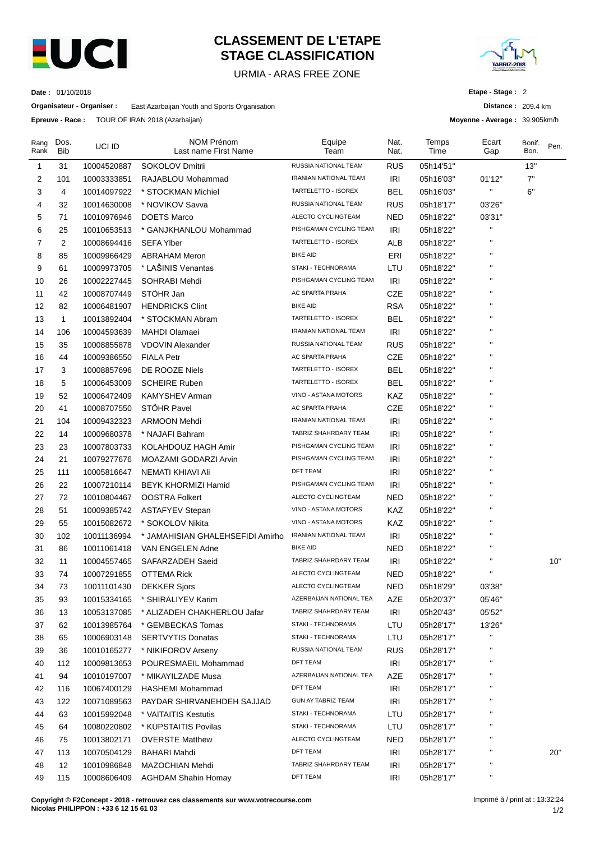

# **CLASSEMENT DE L'ETAPE STAGE CLASSIFICATION**

URMIA - ARAS FREE ZONE



**Distance :** 209.4 km **Moyenne - Average :** 39.905km/h

**Etape - Stage :** 2

**Date :** 01/10/2018

**Organisateur - Organiser :** East Azarbaijan Youth and Sports Organisation

**Epreuve - Race :** TOUR OF IRAN 2018 (Azarbaijan)

| Rang<br>Rank | Dos.<br><b>Bib</b> | UCI ID      | NOM Prénom<br>Last name First Name | Equipe<br>Team               | Nat.<br>Nat. | Temps<br>Time | Ecart<br>Gap | Bonif.<br>Bon. | Pen. |
|--------------|--------------------|-------------|------------------------------------|------------------------------|--------------|---------------|--------------|----------------|------|
| 1            | 31                 | 10004520887 | SOKOLOV Dmitrii                    | RUSSIA NATIONAL TEAM         | <b>RUS</b>   | 05h14'51"     |              | 13"            |      |
| 2            | 101                | 10003333851 | RAJABLOU Mohammad                  | IRANIAN NATIONAL TEAM        | IRI          | 05h16'03"     | 01'12"       | 7"             |      |
| 3            | 4                  | 10014097922 | * STOCKMAN Michiel                 | TARTELETTO - ISOREX          | BEL          | 05h16'03"     | Ħ            | 6"             |      |
| 4            | 32                 | 10014630008 | * NOVIKOV Savva                    | RUSSIA NATIONAL TEAM         | <b>RUS</b>   | 05h18'17"     | 03'26"       |                |      |
| 5            | 71                 | 10010976946 | DOETS Marco                        | ALECTO CYCLINGTEAM           | <b>NED</b>   | 05h18'22"     | 03'31"       |                |      |
| 6            | 25                 | 10010653513 | * GANJKHANLOU Mohammad             | PISHGAMAN CYCLING TEAM       | IRI          | 05h18'22"     |              |                |      |
| 7            | $\overline{2}$     | 10008694416 | <b>SEFA Ylber</b>                  | TARTELETTO - ISOREX          | ALB          | 05h18'22"     | п            |                |      |
| 8            | 85                 | 10009966429 | <b>ABRAHAM Meron</b>               | <b>BIKE AID</b>              | ERI          | 05h18'22"     |              |                |      |
| 9            | 61                 | 10009973705 | * LAŠINIS Venantas                 | STAKI - TECHNORAMA           | LTU          | 05h18'22"     |              |                |      |
| 10           | 26                 | 10002227445 | SOHRABI Mehdi                      | PISHGAMAN CYCLING TEAM       | <b>IRI</b>   | 05h18'22"     |              |                |      |
| 11           | 42                 | 10008707449 | STÖHR Jan                          | AC SPARTA PRAHA              | CZE          | 05h18'22"     |              |                |      |
| 12           | 82                 | 10006481907 | <b>HENDRICKS Clint</b>             | <b>BIKE AID</b>              | <b>RSA</b>   | 05h18'22"     |              |                |      |
| 13           | $\mathbf{1}$       | 10013892404 | * STOCKMAN Abram                   | TARTELETTO - ISOREX          | <b>BEL</b>   | 05h18'22"     | п            |                |      |
| 14           | 106                | 10004593639 | <b>MAHDI Olamaei</b>               | IRANIAN NATIONAL TEAM        | <b>IRI</b>   | 05h18'22"     |              |                |      |
| 15           | 35                 | 10008855878 | <b>VDOVIN Alexander</b>            | RUSSIA NATIONAL TEAM         | <b>RUS</b>   | 05h18'22"     |              |                |      |
| 16           | 44                 | 10009386550 | <b>FIALA Petr</b>                  | AC SPARTA PRAHA              | CZE          | 05h18'22"     |              |                |      |
| 17           | 3                  | 10008857696 | DE ROOZE Niels                     | TARTELETTO - ISOREX          | <b>BEL</b>   | 05h18'22"     |              |                |      |
| 18           | 5                  | 10006453009 | <b>SCHEIRE Ruben</b>               | TARTELETTO - ISOREX          | <b>BEL</b>   | 05h18'22"     |              |                |      |
| 19           | 52                 | 10006472409 | KAMYSHEV Arman                     | VINO - ASTANA MOTORS         | KAZ          | 05h18'22"     | п            |                |      |
| 20           | 41                 | 10008707550 | STÖHR Pavel                        | AC SPARTA PRAHA              | CZE          | 05h18'22"     |              |                |      |
| 21           | 104                | 10009432323 | <b>ARMOON Mehdi</b>                | IRANIAN NATIONAL TEAM        | <b>IRI</b>   | 05h18'22"     | п            |                |      |
| 22           | 14                 | 10009680378 | * NAJAFI Bahram                    | TABRIZ SHAHRDARY TEAM        | IRI          | 05h18'22"     |              |                |      |
| 23           | 23                 | 10007803733 | KOLAHDOUZ HAGH Amir                | PISHGAMAN CYCLING TEAM       | IRI          | 05h18'22"     |              |                |      |
| 24           | 21                 | 10079277676 | MOAZAMI GODARZI Arvin              | PISHGAMAN CYCLING TEAM       | IRI          | 05h18'22"     |              |                |      |
| 25           | 111                | 10005816647 | NEMATI KHIAVI Ali                  | <b>DFT TEAM</b>              | <b>IRI</b>   | 05h18'22"     |              |                |      |
| 26           | 22                 | 10007210114 | BEYK KHORMIZI Hamid                | PISHGAMAN CYCLING TEAM       | IRI          | 05h18'22"     |              |                |      |
| 27           | 72                 | 10010804467 | OOSTRA Folkert                     | ALECTO CYCLINGTEAM           | NED          | 05h18'22"     | н            |                |      |
| 28           | 51                 | 10009385742 | <b>ASTAFYEV Stepan</b>             | VINO - ASTANA MOTORS         | KAZ          | 05h18'22"     |              |                |      |
| 29           | 55                 | 10015082672 | * SOKOLOV Nikita                   | VINO - ASTANA MOTORS         | KAZ          | 05h18'22"     | п            |                |      |
| 30           | 102                | 10011136994 | * JAMAHISIAN GHALEHSEFIDI Amirho   | <b>IRANIAN NATIONAL TEAM</b> | <b>IRI</b>   | 05h18'22"     |              |                |      |
| 31           | 86                 | 10011061418 | VAN ENGELEN Adne                   | <b>BIKE AID</b>              | <b>NED</b>   | 05h18'22"     |              |                |      |
| 32           | 11                 | 10004557465 | SAFARZADEH Saeid                   | TABRIZ SHAHRDARY TEAM        | IRI          | 05h18'22"     |              |                | 10"  |
| 33           | 74                 | 10007291855 | <b>OTTEMA Rick</b>                 | ALECTO CYCLINGTEAM           | NED          | 05h18'22"     | п            |                |      |
| 34           | 73                 | 10011101430 | <b>DEKKER Sjors</b>                | ALECTO CYCLINGTEAM           | NED          | 05h18'29"     | 03'38"       |                |      |
| 35           | 93                 | 10015334165 | * SHIRALIYEV Karim                 | AZERBAIJAN NATIONAL TEA      | AZE          | 05h20'37"     | 05'46"       |                |      |
| 36           | 13                 | 10053137085 | * ALIZADEH CHAKHERLOU Jafar        | TABRIZ SHAHRDARY TEAM        | IRI          | 05h20'43"     | 05'52"       |                |      |
| 37           | 62                 | 10013985764 | * GEMBECKAS Tomas                  | STAKI - TECHNORAMA           | LTU          | 05h28'17"     | 13'26"       |                |      |
| 38           | 65                 | 10006903148 | <b>SERTVYTIS Donatas</b>           | STAKI - TECHNORAMA           | LTU          | 05h28'17"     | $\mathbf{H}$ |                |      |
| 39           | 36                 | 10010165277 | * NIKIFOROV Arseny                 | RUSSIA NATIONAL TEAM         | <b>RUS</b>   | 05h28'17"     | П            |                |      |
| 40           | 112                | 10009813653 | POURESMAEIL Mohammad               | DFT TEAM                     | IRI          | 05h28'17"     |              |                |      |
| 41           | 94                 | 10010197007 | * MIKAYILZADE Musa                 | AZERBAIJAN NATIONAL TEA      | AZE          | 05h28'17"     |              |                |      |
| 42           | 116                | 10067400129 | HASHEMI Mohammad                   | <b>DFT TEAM</b>              | IRI          | 05h28'17"     |              |                |      |
| 43           | 122                | 10071089563 | PAYDAR SHIRVANEHDEH SAJJAD         | GUN AY TABRIZ TEAM           | <b>IRI</b>   | 05h28'17"     |              |                |      |
| 44           | 63                 | 10015992048 | * VAITAITIS Kestutis               | STAKI - TECHNORAMA           | LTU          | 05h28'17"     | п            |                |      |
| 45           | 64                 | 10080220802 | * KUPSTAITIS Povilas               | STAKI - TECHNORAMA           | LTU          | 05h28'17"     | н            |                |      |
| 46           | 75                 | 10013802171 | <b>OVERSTE Matthew</b>             | ALECTO CYCLINGTEAM           | <b>NED</b>   | 05h28'17"     | н            |                |      |
| 47           | 113                | 10070504129 | <b>BAHARI Mahdi</b>                | DFT TEAM                     | <b>IRI</b>   | 05h28'17"     |              |                | 20"  |
| 48           | 12                 | 10010986848 | MAZOCHIAN Mehdi                    | TABRIZ SHAHRDARY TEAM        | IRI          | 05h28'17"     |              |                |      |
| 49           | 115                | 10008606409 | <b>AGHDAM Shahin Homay</b>         | DFT TEAM                     | IRI          | 05h28'17"     | Н            |                |      |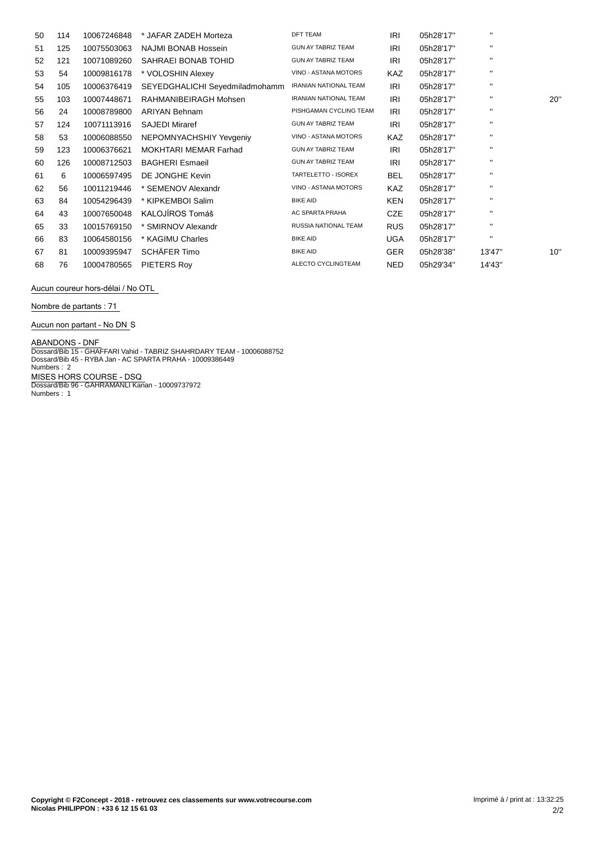| 50 | 114 | 10067246848 | * JAFAR ZADEH Morteza          | <b>DFT TEAM</b>              | IRI        | 05h28'17" | $\mathbf{H}$ |     |
|----|-----|-------------|--------------------------------|------------------------------|------------|-----------|--------------|-----|
| 51 | 125 | 10075503063 | NAJMI BONAB Hossein            | <b>GUN AY TABRIZ TEAM</b>    | IRI        | 05h28'17" | $\mathbf{H}$ |     |
| 52 | 121 | 10071089260 | SAHRAEI BONAB TOHID            | <b>GUN AY TABRIZ TEAM</b>    | IRI        | 05h28'17" | $\mathbf{H}$ |     |
| 53 | 54  | 10009816178 | * VOLOSHIN Alexey              | VINO - ASTANA MOTORS         | <b>KAZ</b> | 05h28'17" | $\mathbf{H}$ |     |
| 54 | 105 | 10006376419 | SEYEDGHALICHI Seyedmiladmohamm | <b>IRANIAN NATIONAL TEAM</b> | IRI        | 05h28'17" | $\mathbf{H}$ |     |
| 55 | 103 | 10007448671 | RAHMANIBEIRAGH Mohsen          | <b>IRANIAN NATIONAL TEAM</b> | IRI        | 05h28'17" | $\mathbf{H}$ | 20" |
| 56 | 24  | 10008789800 | <b>ARIYAN Behnam</b>           | PISHGAMAN CYCLING TEAM       | IRI        | 05h28'17" | $\mathbf{H}$ |     |
| 57 | 124 | 10071113916 | <b>SAJEDI Miraref</b>          | <b>GUN AY TABRIZ TEAM</b>    | IRI        | 05h28'17" | $\mathbf{H}$ |     |
| 58 | 53  | 10006088550 | NEPOMNYACHSHIY Yevgeniy        | VINO - ASTANA MOTORS         | KAZ        | 05h28'17" | $\mathbf{H}$ |     |
| 59 | 123 | 10006376621 | MOKHTARI MEMAR Farhad          | <b>GUN AY TABRIZ TEAM</b>    | IRI        | 05h28'17" | $\mathbf{H}$ |     |
| 60 | 126 | 10008712503 | <b>BAGHERI Esmaeil</b>         | <b>GUN AY TABRIZ TEAM</b>    | IRI        | 05h28'17" | $\mathbf{H}$ |     |
| 61 | 6   | 10006597495 | DE JONGHE Kevin                | TARTELETTO - ISOREX          | BEL        | 05h28'17" | $\mathbf{H}$ |     |
| 62 | 56  | 10011219446 | * SEMENOV Alexandr             | VINO - ASTANA MOTORS         | <b>KAZ</b> | 05h28'17" | $\mathbf{H}$ |     |
| 63 | 84  | 10054296439 | * KIPKEMBOI Salim              | <b>BIKE AID</b>              | KEN        | 05h28'17" | $\mathbf{H}$ |     |
| 64 | 43  | 10007650048 | KALOJÍROS Tomáš                | AC SPARTA PRAHA              | <b>CZE</b> | 05h28'17" | $\mathbf{H}$ |     |
| 65 | 33  | 10015769150 | * SMIRNOV Alexandr             | RUSSIA NATIONAL TEAM         | <b>RUS</b> | 05h28'17" | $\mathbf{H}$ |     |
| 66 | 83  | 10064580156 | * KAGIMU Charles               | <b>BIKE AID</b>              | <b>UGA</b> | 05h28'17" | $\mathbf{H}$ |     |
| 67 | 81  | 10009395947 | SCHÄFER Timo                   | <b>BIKE AID</b>              | <b>GER</b> | 05h28'38" | 13'47"       | 10" |
| 68 | 76  | 10004780565 | PIETERS Roy                    | ALECTO CYCLINGTEAM           | <b>NED</b> | 05h29'34" | 14'43"       |     |

**Aucun coureur hors-dÈlai / No OTL**

**Nombre de partants : 71**

**Aucun non partant - No DN** S

**ABANDONS - DNF**<br>Dossard/Bib 15 - GHAFFARI Vahid - TABRIZ SHAHRDARY TEAM - 10006088752<br>Dossard/Bib 45 - RYBA Jan - AC SPARTA PRAHA - 10009386449<br>Numbers : 2 **MISES HORS COURSE - DSQ** Dossard/Bib 96 - GAHRAMANLI Kanan - 10009737972 Numbers : 1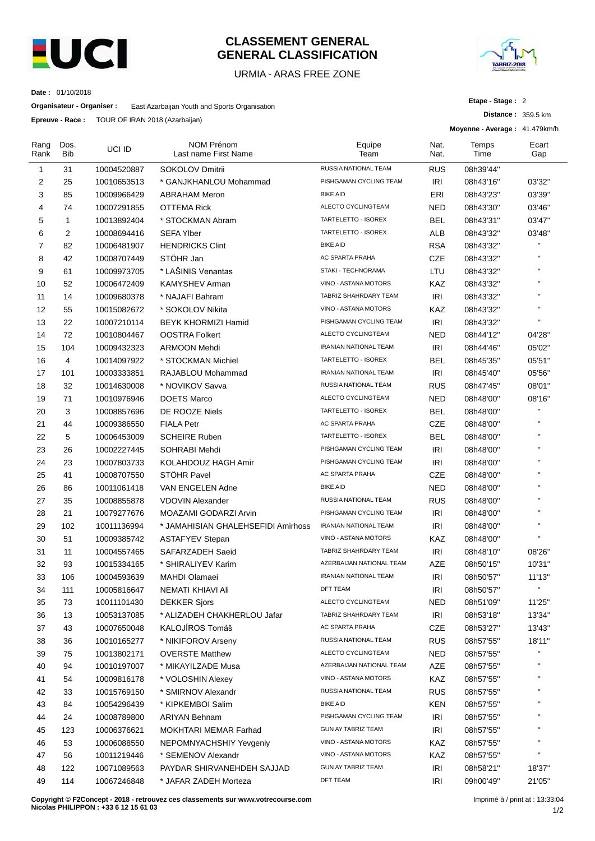

### **CLASSEMENT GENERAL GENERAL CLASSIFICATION**

### URMIA - ARAS FREE ZONE



**Distance :** 359.5 km

**Etape - Stage :** 2

**Date :** 01/10/2018

**Organisateur - Organiser :** East Azarbaijan Youth and Sports Organisation

**Epreuve - Race :** TOUR OF IRAN 2018 (Azarbaijan)

|              |                    |             |                                           |                              |              | Moyenne - Average: 41.479km/h |              |
|--------------|--------------------|-------------|-------------------------------------------|------------------------------|--------------|-------------------------------|--------------|
| Rang<br>Rank | Dos.<br><b>Bib</b> | UCI ID      | <b>NOM Prénom</b><br>Last name First Name | Equipe<br>Team               | Nat.<br>Nat. | Temps<br>Time                 | Ecart<br>Gap |
| 1            | 31                 | 10004520887 | <b>SOKOLOV Dmitrii</b>                    | RUSSIA NATIONAL TEAM         | <b>RUS</b>   | 08h39'44"                     |              |
| 2            | 25                 | 10010653513 | * GANJKHANLOU Mohammad                    | PISHGAMAN CYCLING TEAM       | <b>IRI</b>   | 08h43'16"                     | 03'32"       |
| 3            | 85                 | 10009966429 | ABRAHAM Meron                             | <b>BIKE AID</b>              | ERI          | 08h43'23"                     | 03'39"       |
| 4            | 74                 | 10007291855 | <b>OTTEMA Rick</b>                        | ALECTO CYCLINGTEAM           | <b>NED</b>   | 08h43'30"                     | 03'46"       |
| 5            | 1                  | 10013892404 | * STOCKMAN Abram                          | TARTELETTO - ISOREX          | <b>BEL</b>   | 08h43'31"                     | 03'47"       |
| 6            | 2                  | 10008694416 | <b>SEFA Ylber</b>                         | TARTELETTO - ISOREX          | ALB          | 08h43'32"                     | 03'48"       |
| 7            | 82                 | 10006481907 | <b>HENDRICKS Clint</b>                    | <b>BIKE AID</b>              | <b>RSA</b>   | 08h43'32"                     | $\mathbf{u}$ |
| 8            | 42                 | 10008707449 | STÖHR Jan                                 | AC SPARTA PRAHA              | <b>CZE</b>   | 08h43'32"                     | $\mathbf{H}$ |
| 9            | 61                 | 10009973705 | * LAŠINIS Venantas                        | STAKI - TECHNORAMA           | LTU          | 08h43'32"                     | $\mathbf{H}$ |
| 10           | 52                 | 10006472409 | <b>KAMYSHEV Arman</b>                     | VINO - ASTANA MOTORS         | KAZ          | 08h43'32"                     | $\mathbf{H}$ |
| 11           | 14                 | 10009680378 | * NAJAFI Bahram                           | TABRIZ SHAHRDARY TEAM        | <b>IRI</b>   | 08h43'32"                     | $\mathbf{H}$ |
| 12           | 55                 | 10015082672 | * SOKOLOV Nikita                          | VINO - ASTANA MOTORS         | KAZ          | 08h43'32"                     | $\mathbf{H}$ |
| 13           | 22                 | 10007210114 | <b>BEYK KHORMIZI Hamid</b>                | PISHGAMAN CYCLING TEAM       | <b>IRI</b>   | 08h43'32"                     | $\mathbf{H}$ |
| 14           | 72                 | 10010804467 | <b>OOSTRA Folkert</b>                     | ALECTO CYCLINGTEAM           | NED          | 08h44'12"                     | 04'28"       |
| 15           | 104                | 10009432323 | ARMOON Mehdi                              | <b>IRANIAN NATIONAL TEAM</b> | <b>IRI</b>   | 08h44'46"                     | 05'02"       |
| 16           | 4                  | 10014097922 | * STOCKMAN Michiel                        | TARTELETTO - ISOREX          | <b>BEL</b>   | 08h45'35"                     | 05'51"       |
| 17           | 101                | 10003333851 | RAJABLOU Mohammad                         | IRANIAN NATIONAL TEAM        | <b>IRI</b>   | 08h45'40"                     | 05'56"       |
| 18           | 32                 | 10014630008 | * NOVIKOV Savva                           | <b>RUSSIA NATIONAL TEAM</b>  | <b>RUS</b>   | 08h47'45"                     | 08'01"       |
| 19           | 71                 | 10010976946 | <b>DOETS Marco</b>                        | ALECTO CYCLINGTEAM           | <b>NED</b>   | 08h48'00"                     | 08'16"       |
| 20           | 3                  | 10008857696 | DE ROOZE Niels                            | TARTELETTO - ISOREX          | <b>BEL</b>   | 08h48'00"                     | $\mathbf{u}$ |
| 21           | 44                 | 10009386550 | <b>FIALA Petr</b>                         | AC SPARTA PRAHA              | <b>CZE</b>   | 08h48'00"                     | $\mathbf{H}$ |
| 22           | 5                  | 10006453009 | <b>SCHEIRE Ruben</b>                      | TARTELETTO - ISOREX          | <b>BEL</b>   | 08h48'00"                     | $\mathbf{H}$ |
| 23           | 26                 | 10002227445 | SOHRABI Mehdi                             | PISHGAMAN CYCLING TEAM       | <b>IRI</b>   | 08h48'00"                     | $\mathbf{H}$ |
| 24           | 23                 | 10007803733 | KOLAHDOUZ HAGH Amir                       | PISHGAMAN CYCLING TEAM       | <b>IRI</b>   | 08h48'00"                     | $\mathbf{H}$ |
| 25           | 41                 | 10008707550 | STÖHR Pavel                               | AC SPARTA PRAHA              | <b>CZE</b>   | 08h48'00"                     | $\mathbf{H}$ |
| 26           | 86                 | 10011061418 | VAN ENGELEN Adne                          | <b>BIKE AID</b>              | <b>NED</b>   | 08h48'00"                     | $\mathbf{H}$ |
| 27           | 35                 | 10008855878 | <b>VDOVIN Alexander</b>                   | RUSSIA NATIONAL TEAM         | <b>RUS</b>   | 08h48'00"                     | $\mathbf{H}$ |
| 28           | 21                 | 10079277676 | MOAZAMI GODARZI Arvin                     | PISHGAMAN CYCLING TEAM       | <b>IRI</b>   | 08h48'00"                     | $\mathbf{H}$ |
| 29           | 102                | 10011136994 | * JAMAHISIAN GHALEHSEFIDI Amirhoss        | <b>IRANIAN NATIONAL TEAM</b> | IRI          | 08h48'00"                     | $\mathbf{H}$ |
| 30           | 51                 | 10009385742 | <b>ASTAFYEV Stepan</b>                    | VINO - ASTANA MOTORS         | KAZ          | 08h48'00"                     | $\mathbf{H}$ |
| 31           | 11                 | 10004557465 | SAFARZADEH Saeid                          | TABRIZ SHAHRDARY TEAM        | <b>IRI</b>   | 08h48'10"                     | 08'26"       |
| 32           | 93                 | 10015334165 | * SHIRALIYEV Karim                        | AZERBAIJAN NATIONAL TEAM     | AZE          | 08h50'15"                     | 10'31"       |
| 33           | 106                | 10004593639 | MAHDI Olamaei                             | IRANIAN NATIONAL TEAM        | IRI          | 08h50'57"                     | 11'13"       |
| 34           | 111                | 10005816647 | NEMATI KHIAVI Ali                         | DFT TEAM                     | <b>IRI</b>   | 08h50'57"                     | $\mathbf{H}$ |
| 35           | 73                 | 10011101430 | <b>DEKKER Sjors</b>                       | ALECTO CYCLINGTEAM           | <b>NED</b>   | 08h51'09"                     | 11'25"       |
| 36           | 13                 | 10053137085 | * ALIZADEH CHAKHERLOU Jafar               | TABRIZ SHAHRDARY TEAM        | <b>IRI</b>   | 08h53'18"                     | 13'34"       |
| 37           | 43                 | 10007650048 | KALOJÍROS Tomáš                           | AC SPARTA PRAHA              | <b>CZE</b>   | 08h53'27"                     | 13'43"       |
| 38           | 36                 | 10010165277 | * NIKIFOROV Arseny                        | RUSSIA NATIONAL TEAM         | <b>RUS</b>   | 08h57'55"                     | 18'11"       |
| 39           | 75                 | 10013802171 | <b>OVERSTE Matthew</b>                    | ALECTO CYCLINGTEAM           | <b>NED</b>   | 08h57'55"                     |              |
| 40           | 94                 | 10010197007 | * MIKAYILZADE Musa                        | AZERBAIJAN NATIONAL TEAM     | AZE          | 08h57'55"                     |              |
| 41           | 54                 | 10009816178 | * VOLOSHIN Alexey                         | VINO - ASTANA MOTORS         | KAZ          | 08h57'55"                     |              |
| 42           | 33                 | 10015769150 | * SMIRNOV Alexandr                        | RUSSIA NATIONAL TEAM         | <b>RUS</b>   | 08h57'55"                     | п            |
| 43           | 84                 | 10054296439 | * KIPKEMBOI Salim                         | <b>BIKE AID</b>              | <b>KEN</b>   | 08h57'55"                     | $\mathbf{H}$ |
| 44           | 24                 | 10008789800 | <b>ARIYAN Behnam</b>                      | PISHGAMAN CYCLING TEAM       | IRI          | 08h57'55"                     | $\mathbf{H}$ |
| 45           | 123                | 10006376621 | MOKHTARI MEMAR Farhad                     | GUN AY TABRIZ TEAM           | IRI          | 08h57'55"                     |              |
| 46           | 53                 | 10006088550 | NEPOMNYACHSHIY Yevgeniy                   | VINO - ASTANA MOTORS         | KAZ          | 08h57'55"                     |              |
| 47           | 56                 | 10011219446 | * SEMENOV Alexandr                        | VINO - ASTANA MOTORS         | KAZ          | 08h57'55"                     | $\mathbf{H}$ |
| 48           | 122                | 10071089563 | PAYDAR SHIRVANEHDEH SAJJAD                | GUN AY TABRIZ TEAM           | <b>IRI</b>   | 08h58'21"                     | 18'37"       |
| 49           | 114                | 10067246848 | * JAFAR ZADEH Morteza                     | DFT TEAM                     | <b>IRI</b>   | 09h00'49"                     | 21'05"       |
|              |                    |             |                                           |                              |              |                               |              |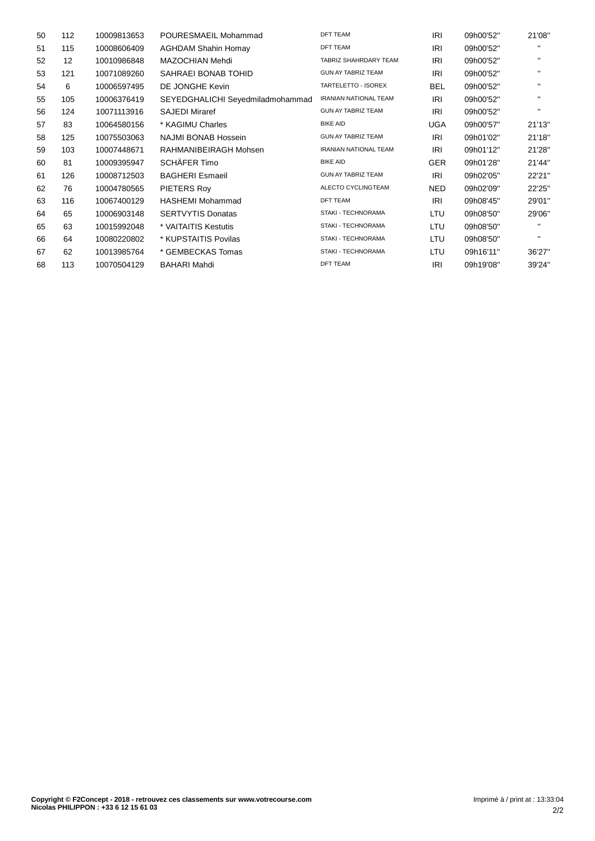| 50 | 112 | 10009813653 | POURESMAEIL Mohammad             | <b>DFT TEAM</b>              | IRI        | 09h00'52" | 21'08"       |
|----|-----|-------------|----------------------------------|------------------------------|------------|-----------|--------------|
| 51 | 115 | 10008606409 | <b>AGHDAM Shahin Homay</b>       | <b>DFT TEAM</b>              | IRI        | 09h00'52" |              |
| 52 | 12  | 10010986848 | MAZOCHIAN Mehdi                  | TABRIZ SHAHRDARY TEAM        | IRI        | 09h00'52" | п.           |
| 53 | 121 | 10071089260 | SAHRAEI BONAB TOHID              | <b>GUN AY TABRIZ TEAM</b>    | <b>IRI</b> | 09h00'52" | $\mathbf{H}$ |
| 54 | 6   | 10006597495 | DE JONGHE Kevin                  | TARTELETTO - ISOREX          | <b>BEL</b> | 09h00'52" | $\mathbf{H}$ |
| 55 | 105 | 10006376419 | SEYEDGHALICHI Seyedmiladmohammad | <b>IRANIAN NATIONAL TEAM</b> | IRI        | 09h00'52" | $\mathbf{H}$ |
| 56 | 124 | 10071113916 | <b>SAJEDI Miraref</b>            | <b>GUN AY TABRIZ TEAM</b>    | IRI        | 09h00'52" | $\mathbf{H}$ |
| 57 | 83  | 10064580156 | * KAGIMU Charles                 | <b>BIKE AID</b>              | <b>UGA</b> | 09h00'57" | 21'13"       |
| 58 | 125 | 10075503063 | NAJMI BONAB Hossein              | <b>GUN AY TABRIZ TEAM</b>    | IRI        | 09h01'02" | 21'18"       |
| 59 | 103 | 10007448671 | RAHMANIBEIRAGH Mohsen            | <b>IRANIAN NATIONAL TEAM</b> | IRI        | 09h01'12" | 21'28"       |
| 60 | 81  | 10009395947 | SCHÄFER Timo                     | <b>BIKE AID</b>              | <b>GER</b> | 09h01'28" | 21'44"       |
| 61 | 126 | 10008712503 | <b>BAGHERI Esmaeil</b>           | <b>GUN AY TABRIZ TEAM</b>    | IRI        | 09h02'05" | 22'21"       |
| 62 | 76  | 10004780565 | PIETERS Roy                      | ALECTO CYCLINGTEAM           | <b>NED</b> | 09h02'09" | 22'25"       |
| 63 | 116 | 10067400129 | <b>HASHEMI Mohammad</b>          | <b>DFT TEAM</b>              | IRI        | 09h08'45" | 29'01"       |
| 64 | 65  | 10006903148 | <b>SERTVYTIS Donatas</b>         | <b>STAKI - TECHNORAMA</b>    | LTU        | 09h08'50" | 29'06"       |
| 65 | 63  | 10015992048 | * VAITAITIS Kestutis             | <b>STAKI - TECHNORAMA</b>    | LTU        | 09h08'50" | $\mathbf{H}$ |
| 66 | 64  | 10080220802 | * KUPSTAITIS Povilas             | STAKI - TECHNORAMA           | LTU        | 09h08'50" | $\mathbf{H}$ |
| 67 | 62  | 10013985764 | * GEMBECKAS Tomas                | <b>STAKI - TECHNORAMA</b>    | LTU        | 09h16'11" | 36'27"       |
| 68 | 113 | 10070504129 | <b>BAHARI Mahdi</b>              | <b>DFT TEAM</b>              | IRI        | 09h19'08" | 39'24"       |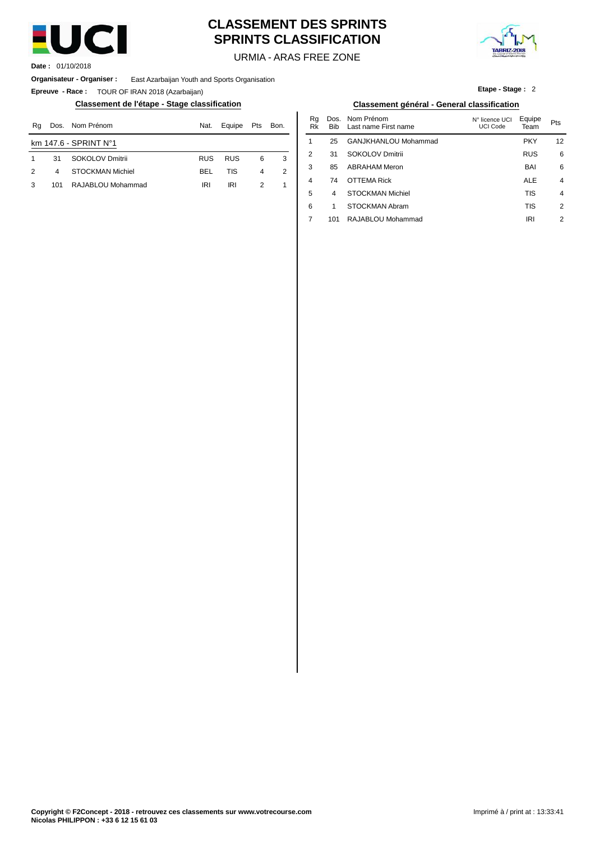

# **CLASSEMENT DES SPRINTS SPRINTS CLASSIFICATION**



**Etape - Stage :** 2

URMIA - ARAS FREE ZONE

**Date :** 01/10/2018

**Organisateur - Organiser :** East Azarbaijan Youth and Sports Organisation

**Epreuve - Race :** TOUR OF IRAN 2018 (Azarbaijan)

### **Classement de l'étape - Stage classification Classement général - General classification**

| Rq | Dos. | Nom Prénom              | Nat.       | Equipe     | Pts           | Bon. | n.u<br>Rk | טש.<br><b>Bib</b> | <b>INUILLETEILUILL</b><br>Last name First name | <b>N° licence UCI</b><br>UCI Code | Equipe<br>Team | Pts |
|----|------|-------------------------|------------|------------|---------------|------|-----------|-------------------|------------------------------------------------|-----------------------------------|----------------|-----|
|    |      | km $147.6 - SPRINT No1$ |            |            |               |      |           | 25                | GANJKHANLOU Mohammad                           |                                   | <b>PKY</b>     | 12  |
|    | 31   | SOKOLOV Dmitrii         | <b>RUS</b> | <b>RUS</b> | 6             |      |           | 31                | SOKOLOV Dmitrii                                |                                   | <b>RUS</b>     |     |
| 2  | 4    | STOCKMAN Michiel        | BEL        | TIS        |               |      |           | 85                | <b>ABRAHAM Meron</b>                           |                                   | <b>BAI</b>     |     |
|    | 101  | RAJABLOU Mohammad       | <b>IRI</b> | IRI        | $\mathcal{D}$ |      | 4         | 74                | <b>OTTEMA Rick</b>                             |                                   | <b>ALE</b>     |     |
|    |      |                         |            |            |               |      |           |                   |                                                |                                   | T <sub>1</sub> |     |

| Nat. | Equipe     | Pts | Bon. | Rq<br>Rk | Bib | Dos. Nom Prénom<br>Last name First name | N° licence UCI<br>UCI Code | Equipe<br>Team | Pts             |
|------|------------|-----|------|----------|-----|-----------------------------------------|----------------------------|----------------|-----------------|
|      |            |     |      | 1        | 25  | GANJKHANLOU Mohammad                    |                            | <b>PKY</b>     | 12 <sup>2</sup> |
| RUS  | <b>RUS</b> | 6   | 3    | 2        | 31  | SOKOLOV Dmitrii                         |                            | <b>RUS</b>     | 6               |
| BEL  | TIS        | 4   | 2    | 3        | 85  | <b>ABRAHAM Meron</b>                    |                            | <b>BAI</b>     | 6               |
| IRI  | <b>IRI</b> | 2   | 1    | 4        | 74  | OTTEMA Rick                             |                            | <b>ALE</b>     | $\overline{4}$  |
|      |            |     |      | 5        | 4   | <b>STOCKMAN Michiel</b>                 |                            | <b>TIS</b>     | $\overline{4}$  |
|      |            |     |      | 6        |     | STOCKMAN Abram                          |                            | <b>TIS</b>     | 2               |
|      |            |     |      | 7        | 101 | RAJABLOU Mohammad                       |                            | IRI            | 2               |
|      |            |     |      |          |     |                                         |                            |                |                 |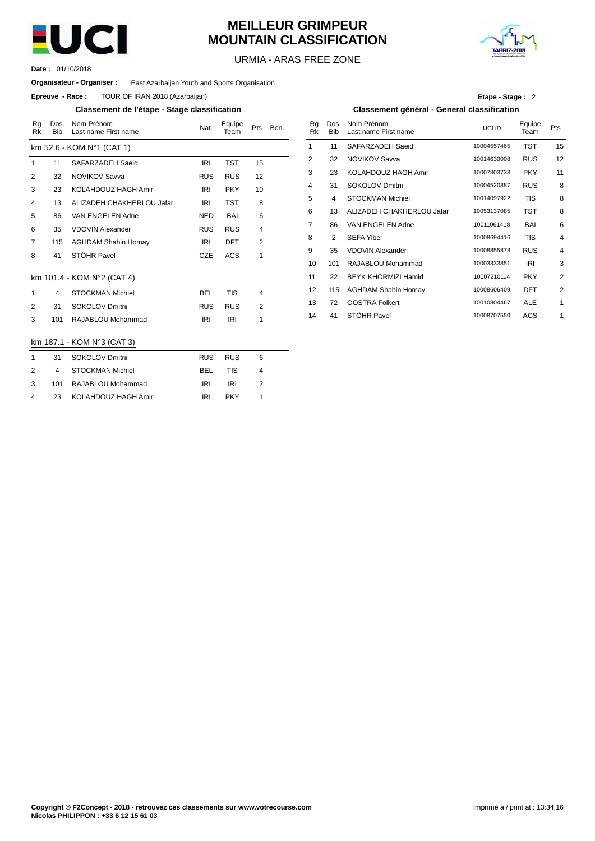

# **MEILLEUR GRIMPEUR MOUNTAIN CLASSIFICATION**



URMIA - ARAS FREE ZONE

01/10/2018 **Date :**

### **Organisateur - Organiser :** East Azarbaijan Youth and Sports Organisation

**Epreuve - Race:** TOUR OF IRAN 2018 (Azarbaijan)

### **Classement de l'étape - Stage classification Classement général - General classification**

| Rg<br><b>Rk</b> | Dos.<br><b>Bib</b> | Nom Prénom<br>Last name First name | Nat.       | Equipe<br>Team | Pts            | Bon. | Rq<br><b>Rk</b> | Dos.<br><b>Bib</b> | Nom Prénom<br>Last name First r |
|-----------------|--------------------|------------------------------------|------------|----------------|----------------|------|-----------------|--------------------|---------------------------------|
|                 |                    | km 52.6 - KOM N°1 (CAT 1)          |            |                |                |      | 1               | 11                 | SAFARZADEH S                    |
| $\mathbf{1}$    | 11                 | SAFARZADEH Saeid                   | <b>IRI</b> | <b>TST</b>     | 15             |      | $\overline{2}$  | 32                 | <b>NOVIKOV Savva</b>            |
| $\overline{2}$  | 32                 | <b>NOVIKOV Savva</b>               | <b>RUS</b> | <b>RUS</b>     | 12             |      | 3               | 23                 | KOLAHDOUZ H                     |
| 3               | 23                 | KOLAHDOUZ HAGH Amir                | IRI        | <b>PKY</b>     | 10             |      | 4               | 31                 | <b>SOKOLOV Dmitr</b>            |
| 4               | 13                 | ALIZADEH CHAKHERLOU Jafar          | <b>IRI</b> | <b>TST</b>     | 8              |      | 5               | 4                  | <b>STOCKMAN Mic</b>             |
| 5               | 86                 | VAN ENGELEN Adne                   | <b>NED</b> | <b>BAI</b>     | 6              |      | 6               | 13                 | <b>ALIZADEH CHA</b>             |
| 6               | 35                 | <b>VDOVIN Alexander</b>            | <b>RUS</b> | <b>RUS</b>     | 4              |      | 7               | 86                 | VAN ENGELEN.                    |
| $\overline{7}$  | 115                | <b>AGHDAM Shahin Homay</b>         | <b>IRI</b> | <b>DFT</b>     | $\overline{2}$ |      | 8               | 2                  | <b>SEFA Ylber</b>               |
| 8               | 41                 | STÖHR Pavel                        | <b>CZE</b> | <b>ACS</b>     | 1              |      | 9               | 35                 | <b>VDOVIN Alexand</b>           |
|                 |                    |                                    |            |                |                |      | 10              | 101                | RAJABLOU Moh                    |
|                 |                    | km 101.4 - KOM N°2 (CAT 4)         |            |                |                |      | 11              | 22                 | <b>BEYK KHORMIZ</b>             |
| $\mathbf{1}$    | 4                  | <b>STOCKMAN Michiel</b>            | <b>BEL</b> | <b>TIS</b>     | 4              |      | 12              | 115                | <b>AGHDAM Shahir</b>            |
| 2               | 31                 | SOKOLOV Dmitrii                    | <b>RUS</b> | <b>RUS</b>     | 2              |      | 13              | 72                 | <b>OOSTRA Folker</b>            |
| 3               | 101                | RAJABLOU Mohammad                  | <b>IRI</b> | <b>IRI</b>     | 1              |      | 14              | 41                 | STÖHR Pavel                     |
|                 |                    |                                    |            |                |                |      |                 |                    |                                 |
|                 |                    | km 187.1 - KOM N°3 (CAT 3)         |            |                |                |      |                 |                    |                                 |
| $\mathbf{1}$    | 31                 | <b>SOKOLOV Dmitrii</b>             | <b>RUS</b> | <b>RUS</b>     | 6              |      |                 |                    |                                 |
| $\overline{2}$  | 4                  | <b>STOCKMAN Michiel</b>            | <b>BEL</b> | <b>TIS</b>     | 4              |      |                 |                    |                                 |
| 3               | 101                | RAJABLOU Mohammad                  | <b>IRI</b> | <b>IRI</b>     | $\overline{2}$ |      |                 |                    |                                 |
| 4               | 23                 | KOLAHDOUZ HAGH Amir                | <b>IRI</b> | <b>PKY</b>     | 1              |      |                 |                    |                                 |

|  | Etape - Stage: 2 |  |
|--|------------------|--|
|--|------------------|--|

| Bon. | Rg<br><b>Rk</b> | Dos.<br><b>Bib</b> | Nom Prénom<br>Last name First name | UCI ID      | Equipe<br>Team | Pts            |
|------|-----------------|--------------------|------------------------------------|-------------|----------------|----------------|
|      | 1               | 11                 | SAFARZADEH Saeid                   | 10004557465 | <b>TST</b>     | 15             |
|      | $\overline{2}$  | 32                 | <b>NOVIKOV Savva</b>               | 10014630008 | <b>RUS</b>     | 12             |
|      | 3               | 23                 | KOLAHDOUZ HAGH Amir                | 10007803733 | <b>PKY</b>     | 11             |
|      | 4               | 31                 | SOKOLOV Dmitrii                    | 10004520887 | <b>RUS</b>     | 8              |
|      | 5               | 4                  | <b>STOCKMAN Michiel</b>            | 10014097922 | <b>TIS</b>     | 8              |
|      | 6               | 13                 | ALIZADEH CHAKHERLOU Jafar          | 10053137085 | <b>TST</b>     | 8              |
|      | 7               | 86                 | VAN ENGELEN Adne                   | 10011061418 | BAI            | 6              |
|      | 8               | 2                  | <b>SEFA Ylber</b>                  | 10008694416 | <b>TIS</b>     | $\overline{4}$ |
|      | 9               | 35                 | <b>VDOVIN Alexander</b>            | 10008855878 | <b>RUS</b>     | $\overline{4}$ |
|      | 10              | 101                | RAJABLOU Mohammad                  | 10003333851 | <b>IRI</b>     | 3              |
|      | 11              | 22                 | <b>BEYK KHORMIZI Hamid</b>         | 10007210114 | <b>PKY</b>     | $\overline{2}$ |
|      | 12              | 115                | <b>AGHDAM Shahin Homay</b>         | 10008606409 | DFT            | $\overline{2}$ |
|      | 13              | 72                 | <b>OOSTRA Folkert</b>              | 10010804467 | <b>ALE</b>     | 1              |
|      | 14              | 41                 | STÖHR Pavel                        | 10008707550 | ACS            | 1              |
|      |                 |                    |                                    |             |                |                |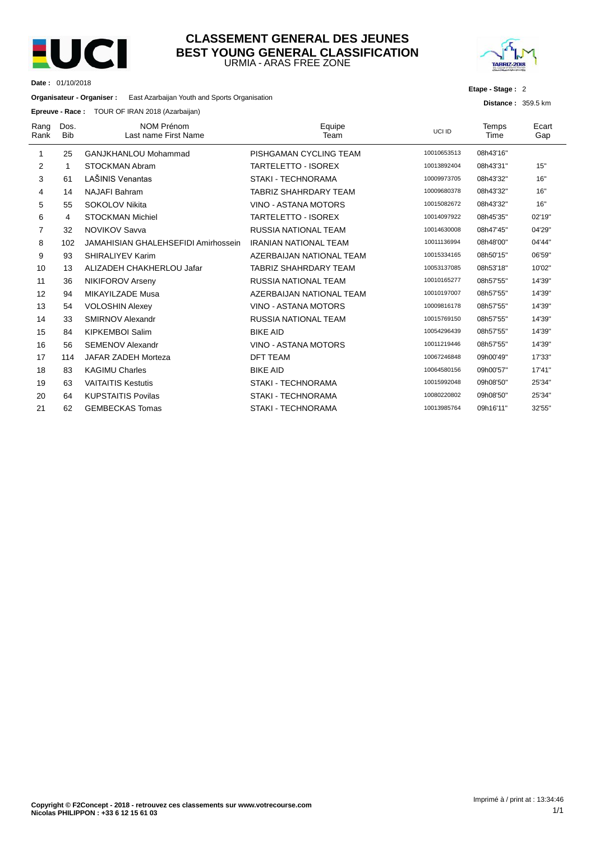

### URMIA - ARAS FREE ZONE **CLASSEMENT GENERAL DES JEUNES BEST YOUNG GENERAL CLASSIFICATION**



**Etape - Stage :** 2

**Distance :** 359.5 km

**Date :** 01/10/2018

**Organisateur - Organiser :** East Azarbaijan Youth and Sports Organisation

**Epreuve - Race :** TOUR OF IRAN 2018 (Azarbaijan)

| Rang<br>Rank | Dos.<br><b>Bib</b> | <b>NOM Prénom</b><br>Last name First Name  | Equipe<br>Team               | UCI ID      | Temps<br>Time | Ecart<br>Gap |
|--------------|--------------------|--------------------------------------------|------------------------------|-------------|---------------|--------------|
| 1            | 25                 | <b>GANJKHANLOU Mohammad</b>                | PISHGAMAN CYCLING TEAM       | 10010653513 | 08h43'16"     |              |
| 2            | 1                  | STOCKMAN Abram                             | <b>TARTELETTO - ISOREX</b>   | 10013892404 | 08h43'31"     | 15"          |
| 3            | 61                 | LAŠINIS Venantas                           | <b>STAKI - TECHNORAMA</b>    | 10009973705 | 08h43'32"     | 16"          |
| 4            | 14                 | <b>NAJAFI Bahram</b>                       | <b>TABRIZ SHAHRDARY TEAM</b> | 10009680378 | 08h43'32"     | 16"          |
| 5            | 55                 | SOKOLOV Nikita                             | VINO - ASTANA MOTORS         | 10015082672 | 08h43'32"     | 16"          |
| 6            | 4                  | <b>STOCKMAN Michiel</b>                    | <b>TARTELETTO - ISOREX</b>   | 10014097922 | 08h45'35"     | 02'19"       |
| 7            | 32                 | <b>NOVIKOV Savva</b>                       | <b>RUSSIA NATIONAL TEAM</b>  | 10014630008 | 08h47'45"     | 04'29"       |
| 8            | 102                | <b>JAMAHISIAN GHALEHSEFIDI Amirhossein</b> | <b>IRANIAN NATIONAL TEAM</b> | 10011136994 | 08h48'00"     | 04'44"       |
| 9            | 93                 | SHIRALIYEV Karim                           | AZERBAIJAN NATIONAL TEAM     | 10015334165 | 08h50'15"     | 06'59"       |
| 10           | 13                 | ALIZADEH CHAKHERLOU Jafar                  | <b>TABRIZ SHAHRDARY TEAM</b> | 10053137085 | 08h53'18"     | 10'02"       |
| 11           | 36                 | NIKIFOROV Arseny                           | RUSSIA NATIONAL TEAM         | 10010165277 | 08h57'55"     | 14'39"       |
| 12           | 94                 | <b>MIKAYILZADE Musa</b>                    | AZERBAIJAN NATIONAL TEAM     | 10010197007 | 08h57'55"     | 14'39"       |
| 13           | 54                 | <b>VOLOSHIN Alexey</b>                     | VINO - ASTANA MOTORS         | 10009816178 | 08h57'55"     | 14'39"       |
| 14           | 33                 | SMIRNOV Alexandr                           | <b>RUSSIA NATIONAL TEAM</b>  | 10015769150 | 08h57'55"     | 14'39"       |
| 15           | 84                 | <b>KIPKEMBOI Salim</b>                     | <b>BIKE AID</b>              | 10054296439 | 08h57'55"     | 14'39"       |
| 16           | 56                 | <b>SEMENOV Alexandr</b>                    | VINO - ASTANA MOTORS         | 10011219446 | 08h57'55"     | 14'39"       |
| 17           | 114                | JAFAR ZADEH Morteza                        | <b>DFT TEAM</b>              | 10067246848 | 09h00'49"     | 17'33"       |
| 18           | 83                 | <b>KAGIMU Charles</b>                      | <b>BIKE AID</b>              | 10064580156 | 09h00'57"     | 17'41"       |
| 19           | 63                 | <b>VAITAITIS Kestutis</b>                  | <b>STAKI - TECHNORAMA</b>    | 10015992048 | 09h08'50"     | 25'34"       |
| 20           | 64                 | <b>KUPSTAITIS Povilas</b>                  | STAKI - TECHNORAMA           | 10080220802 | 09h08'50"     | 25'34"       |
| 21           | 62                 | <b>GEMBECKAS Tomas</b>                     | <b>STAKI - TECHNORAMA</b>    | 10013985764 | 09h16'11"     | 32'55"       |
|              |                    |                                            |                              |             |               |              |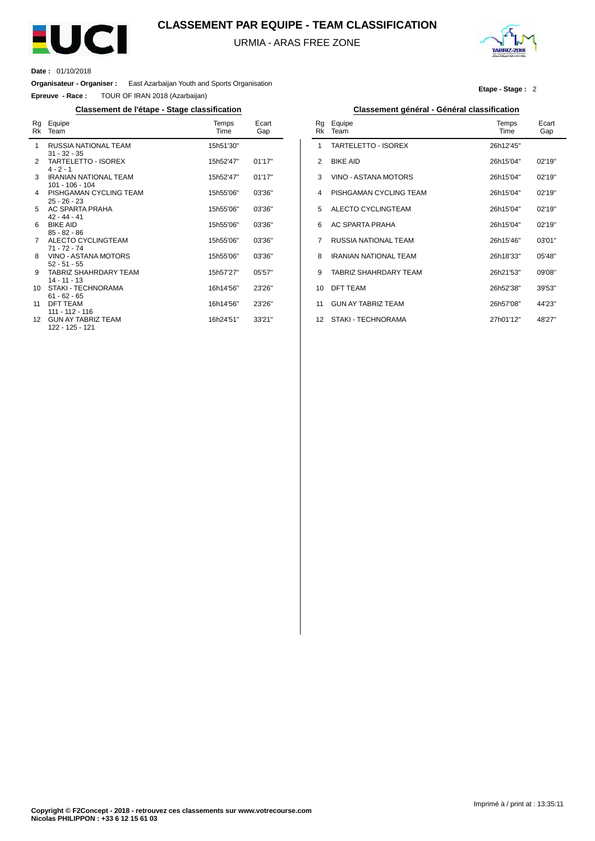

### **CLASSEMENT PAR EQUIPE - TEAM CLASSIFICATION**

URMIA - ARAS FREE ZONE



**Etape - Stage :** 2

**Date :** 01/10/2018

**Organisateur - Organiser :** East Azarbaijan Youth and Sports Organisation

**Epreuve - Race :** TOUR OF IRAN 2018 (Azarbaijan)

### **Classement de l'étape - Stage classification Classement général - Général classification**

| Rg<br>Rk | Equipe<br>Team                                    | Temps<br>Time | Ecart<br>Gap |
|----------|---------------------------------------------------|---------------|--------------|
| 1        | RUSSIA NATIONAL TEAM<br>$31 - 32 - 35$            | 15h51'30"     |              |
| 2        | TARTELETTO - ISOREX<br>$4 - 2 - 1$                | 15h52'47"     | 01'17"       |
| 3        | <b>IRANIAN NATIONAL TEAM</b><br>$101 - 106 - 104$ | 15h52'47"     | 01'17"       |
| 4        | PISHGAMAN CYCLING TEAM<br>$25 - 26 - 23$          | 15h55'06"     | 03'36"       |
| 5        | AC SPARTA PRAHA<br>$42 - 44 - 41$                 | 15h55'06"     | 03'36"       |
| 6        | <b>BIKE AID</b><br>$85 - 82 - 86$                 | 15h55'06"     | 03'36"       |
| 7        | ALECTO CYCLINGTEAM<br>$71 - 72 - 74$              | 15h55'06"     | 03'36''      |
| 8        | VINO - ASTANA MOTORS<br>$52 - 51 - 55$            | 15h55'06"     | 03'36"       |
| 9        | <b>TABRIZ SHAHRDARY TEAM</b><br>$14 - 11 - 13$    | 15h57'27"     | 05'57"       |
| 10       | STAKI - TECHNORAMA<br>$61 - 62 - 65$              | 16h14'56"     | 23'26"       |
| 11       | <b>DFT TEAM</b><br>$111 - 112 - 116$              | 16h14'56"     | 23'26"       |
| 12       | <b>GUN AY TABRIZ TEAM</b><br>122 - 125 - 121      | 16h24'51"     | 33'21"       |

| Rg<br>Rk | Equipe<br>Team               | Temps<br>Time | Ecart<br>Gap |
|----------|------------------------------|---------------|--------------|
| 1        | TARTELETTO - ISOREX          | 26h12'45"     |              |
| 2        | <b>BIKE AID</b>              | 26h15'04"     | 02'19"       |
| 3        | VINO - ASTANA MOTORS         | 26h15'04"     | 02'19"       |
| 4        | PISHGAMAN CYCLING TEAM       | 26h15'04"     | 02'19"       |
| 5        | ALECTO CYCLINGTEAM           | 26h15'04"     | 02'19"       |
| 6        | AC SPARTA PRAHA              | 26h15'04"     | 02'19"       |
| 7        | <b>RUSSIA NATIONAL TEAM</b>  | 26h15'46"     | 03'01"       |
| 8        | <b>IRANIAN NATIONAL TEAM</b> | 26h18'33"     | 05'48"       |
| 9        | <b>TABRIZ SHAHRDARY TFAM</b> | 26h21'53"     | 09'08"       |
| 10       | <b>DFT TEAM</b>              | 26h52'38"     | 39'53"       |
| 11       | <b>GUN AY TABRIZ TEAM</b>    | 26h57'08"     | 44'23"       |
| 12       | STAKI - TECHNORAMA           | 27h01'12"     | 48'27"       |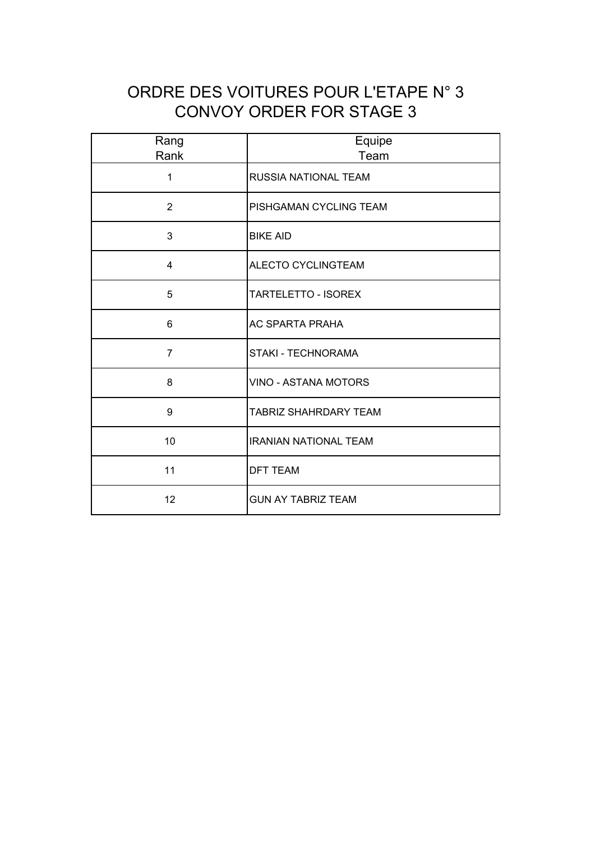# ORDRE DES VOITURES POUR L'ETAPE N° 3 CONVOY ORDER FOR STAGE 3

| Rang<br>Rank   | Equipe<br>Team               |  |  |  |
|----------------|------------------------------|--|--|--|
| 1              | RUSSIA NATIONAL TEAM         |  |  |  |
| $\overline{2}$ | PISHGAMAN CYCLING TEAM       |  |  |  |
| 3              | <b>BIKE AID</b>              |  |  |  |
| $\overline{4}$ | <b>ALECTO CYCLINGTEAM</b>    |  |  |  |
| 5              | <b>TARTELETTO - ISOREX</b>   |  |  |  |
| 6              | <b>AC SPARTA PRAHA</b>       |  |  |  |
| $\overline{7}$ | STAKI - TECHNORAMA           |  |  |  |
| 8              | VINO - ASTANA MOTORS         |  |  |  |
| 9              | <b>TABRIZ SHAHRDARY TEAM</b> |  |  |  |
| 10             | <b>IRANIAN NATIONAL TEAM</b> |  |  |  |
| 11             | <b>DFT TEAM</b>              |  |  |  |
| 12             | <b>GUN AY TABRIZ TEAM</b>    |  |  |  |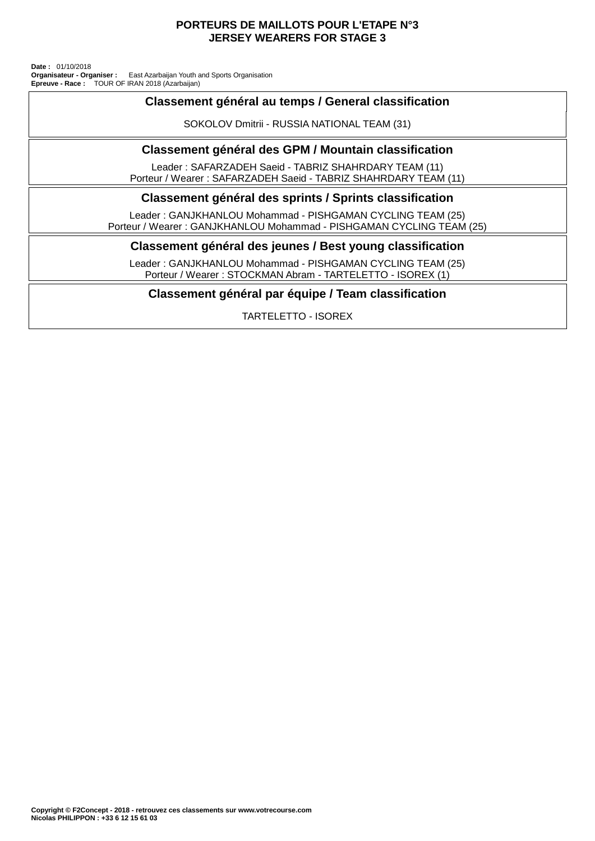### **PORTEURS DE MAILLOTS POUR L'ETAPE N°3 JERSEY WEARERS FOR STAGE 3**

TOUR OF IRAN 2018 (Azarbaijan) East Azarbaijan Youth and Sports Organisation **Date :** 01/10/2018 **Organisateur - Organiser : Epreuve - Race :**

### **Classement général au temps / General classification**

SOKOLOV Dmitrii - RUSSIA NATIONAL TEAM (31)

### **Classement général des GPM / Mountain classification**

Leader : SAFARZADEH Saeid - TABRIZ SHAHRDARY TEAM (11) Porteur / Wearer : SAFARZADEH Saeid - TABRIZ SHAHRDARY TEAM (11)

### **Classement général des sprints / Sprints classification**

Leader : GANJKHANLOU Mohammad - PISHGAMAN CYCLING TEAM (25) Porteur / Wearer : GANJKHANLOU Mohammad - PISHGAMAN CYCLING TEAM (25)

### **Classement général des jeunes / Best young classification**

Leader : GANJKHANLOU Mohammad - PISHGAMAN CYCLING TEAM (25) Porteur / Wearer : STOCKMAN Abram - TARTELETTO - ISOREX (1)

### **Classement général par équipe / Team classification**

TARTELETTO - ISOREX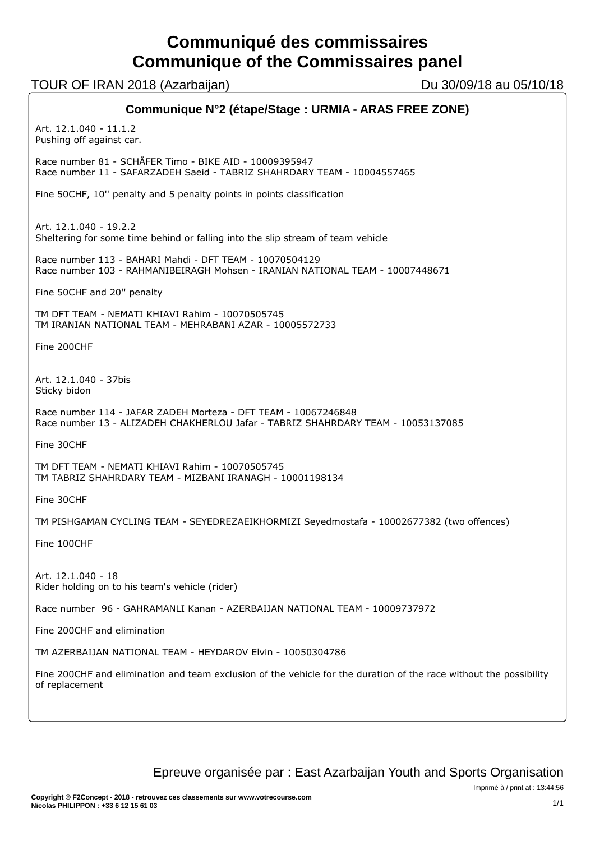# **Communiqué des commissaires Communique of the Commissaires panel**

TOUR OF IRAN 2018 (Azarbaijan) Du 30/09/18 au 05/10/18

| Communique N°2 (étape/Stage : URMIA - ARAS FREE ZONE)                                                                                              |  |  |  |  |
|----------------------------------------------------------------------------------------------------------------------------------------------------|--|--|--|--|
| Art. 12.1.040 - 11.1.2<br>Pushing off against car.                                                                                                 |  |  |  |  |
| Race number 81 - SCHÄFER Timo - BIKE AID - 10009395947<br>Race number 11 - SAFARZADEH Saeid - TABRIZ SHAHRDARY TEAM - 10004557465                  |  |  |  |  |
| Fine 50CHF, 10" penalty and 5 penalty points in points classification                                                                              |  |  |  |  |
| Art. 12.1.040 - 19.2.2<br>Sheltering for some time behind or falling into the slip stream of team vehicle                                          |  |  |  |  |
| Race number 113 - BAHARI Mahdi - DFT TEAM - 10070504129<br>Race number 103 - RAHMANIBEIRAGH Mohsen - IRANIAN NATIONAL TEAM - 10007448671           |  |  |  |  |
| Fine 50CHF and 20" penalty                                                                                                                         |  |  |  |  |
| TM DFT TEAM - NEMATI KHIAVI Rahim - 10070505745<br>TM IRANIAN NATIONAL TEAM - MEHRABANI AZAR - 10005572733                                         |  |  |  |  |
| Fine 200CHF                                                                                                                                        |  |  |  |  |
| Art. 12.1.040 - 37bis<br>Sticky bidon                                                                                                              |  |  |  |  |
| Race number 114 - JAFAR ZADEH Morteza - DFT TEAM - 10067246848<br>Race number 13 - ALIZADEH CHAKHERLOU Jafar - TABRIZ SHAHRDARY TEAM - 10053137085 |  |  |  |  |
| Fine 30CHF                                                                                                                                         |  |  |  |  |
| TM DFT TEAM - NEMATI KHIAVI Rahim - 10070505745<br>TM TABRIZ SHAHRDARY TEAM - MIZBANI IRANAGH - 10001198134                                        |  |  |  |  |
| Fine 30CHF                                                                                                                                         |  |  |  |  |
| TM PISHGAMAN CYCLING TEAM - SEYEDREZAEIKHORMIZI Seyedmostafa - 10002677382 (two offences)                                                          |  |  |  |  |
| Fine 100CHF                                                                                                                                        |  |  |  |  |
| Art. 12.1.040 - 18<br>Rider holding on to his team's vehicle (rider)                                                                               |  |  |  |  |
| Race number 96 - GAHRAMANLI Kanan - AZERBAIJAN NATIONAL TEAM - 10009737972                                                                         |  |  |  |  |
| Fine 200CHF and elimination                                                                                                                        |  |  |  |  |
| TM AZERBAIJAN NATIONAL TEAM - HEYDAROV Elvin - 10050304786                                                                                         |  |  |  |  |
| Fine 200CHF and elimination and team exclusion of the vehicle for the duration of the race without the possibility<br>of replacement               |  |  |  |  |
|                                                                                                                                                    |  |  |  |  |

Epreuve organisée par : East Azarbaijan Youth and Sports Organisation

Imprimé à / print at : 13:44:56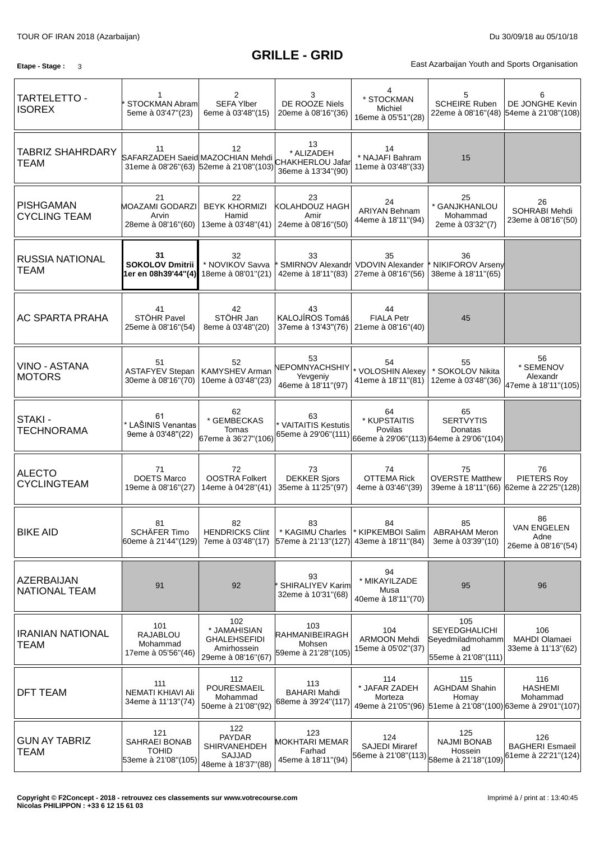# **GRILLE - GRID**

**Etape - Stage** : 3 3

| TARTELETTO -<br><b>ISOREX</b>           | STOCKMAN Abram<br>5eme à 03'47"(23)                         | 2<br><b>SEFA Ylber</b><br>6eme à 03'48"(15)                              | 3<br>DE ROOZE Niels<br>20eme à 08'16"(36)                                                              | * STOCKMAN<br>Michiel<br>16eme à 05'51"(28)       | 5<br><b>SCHEIRE Ruben</b>                                                       | 6<br>DE JONGHE Kevin<br>22eme à 08'16"(48) 54eme à 21'08"(108)                                  |
|-----------------------------------------|-------------------------------------------------------------|--------------------------------------------------------------------------|--------------------------------------------------------------------------------------------------------|---------------------------------------------------|---------------------------------------------------------------------------------|-------------------------------------------------------------------------------------------------|
| <b>TABRIZ SHAHRDARY</b><br><b>TEAM</b>  | 11<br>SAFARZADEH Saeid MAZOCHIAN Mehdi                      | $12 \overline{ }$<br>31eme à 08'26"(63) 52eme à 21'08"(103)              | 13<br>* ALIZADEH<br>CHAKHERLOU Jafar<br>36eme à 13'34"(90)                                             | 14<br>* NAJAFI Bahram<br>11eme à 03'48"(33)       | 15                                                                              |                                                                                                 |
| <b>PISHGAMAN</b><br><b>CYCLING TEAM</b> | 21<br><b>MOAZAMI GODARZI</b><br>Arvin<br>28eme à 08'16"(60) | 22<br><b>BEYK KHORMIZI</b><br>Hamid<br>13eme à 03'48"(41)                | 23<br>KOLAHDOUZ HAGH<br>Amir<br>24eme à 08'16"(50)                                                     | 24<br><b>ARIYAN Behnam</b><br>44eme à 18'11"(94)  | 25<br>* GANJKHANLOU<br>Mohammad<br>2eme à 03'32"(7)                             | 26<br>SOHRABI Mehdi<br>23eme à 08'16"(50)                                                       |
| <b>RUSSIA NATIONAL</b><br><b>TEAM</b>   | 31<br><b>SOKOLOV Dmitrii</b><br>1er en 08h39'44"(4)         | 32<br>* NOVIKOV Savva<br>18eme à 08'01"(21)                              | 33<br>42eme à 18'11"(83)   27eme à 08'16"(56)                                                          | 35<br>SMIRNOV Alexandr VDOVIN Alexander           | 36<br>NIKIFOROV Arseny<br>38eme à 18'11"(65)                                    |                                                                                                 |
| AC SPARTA PRAHA                         | 41<br>STÖHR Pavel<br>25eme à 08'16"(54)                     | 42<br>STÖHR Jan<br>8eme à 03'48"(20)                                     | 43<br>KALOJÍROS Tomáš<br>37eme à 13'43"(76)                                                            | 44<br><b>FIALA Petr</b><br>21eme à 08'16"(40)     | 45                                                                              |                                                                                                 |
| VINO - ASTANA<br><b>MOTORS</b>          | 51<br><b>ASTAFYEV Stepan</b><br>30eme à 08'16"(70)          | 52<br>KAMYSHEV Arman<br>10eme à 03'48"(23)                               | 53<br>NEPOMNYACHSHIY<br>Yevgeniy<br>46eme à 18'11"(97)                                                 | 54<br>* VOLOSHIN Alexey<br>41eme à 18'11"(81)     | 55<br>* SOKOLOV Nikita<br>12eme à 03'48"(36)                                    | 56<br>* SEMENOV<br>Alexandr<br>47eme à 18'11"(105)                                              |
| STAKI -<br><b>TECHNORAMA</b>            | 61<br>* LAŠINIS Venantas<br>9eme à 03'48"(22)               | 62<br>* GEMBECKAS<br>Tomas<br>67eme à 36'27"(106)                        | 63<br>* VAITAITIS Kestutis<br> 65eme à 29'06"(111)  <sub>66eme</sub> à 29'06"(113) 64eme à 29'06"(104) | 64<br>* KUPSTAITIS<br>Povilas                     | 65<br><b>SERTVYTIS</b><br>Donatas                                               |                                                                                                 |
| <b>ALECTO</b><br><b>CYCLINGTEAM</b>     | 71<br><b>DOETS Marco</b><br>19eme à 08'16"(27)              | 72<br><b>OOSTRA Folkert</b><br>14eme à 04'28"(41)                        | 73<br><b>DEKKER Sjors</b><br>35eme à 11'25"(97)                                                        | 74<br><b>OTTEMA Rick</b><br>4eme à 03'46" (39)    | 75<br><b>OVERSTE Matthew</b>                                                    | 76<br>PIETERS Roy<br>39eme à 18'11"(66) 62eme à 22'25"(128)                                     |
| <b>BIKE AID</b>                         | 81<br>SCHÄFER Timo<br>60eme à 21'44"(129)                   | 82<br><b>HENDRICKS Clint</b><br>7eme à 03'48"(17)                        | 83<br>* KAGIMU Charles<br>57eme à 21'13"(127) 43eme à 18'11"(84)                                       | 84<br>* KIPKEMBOI Salim                           | 85<br><b>ABRAHAM Meron</b><br>3eme à 03'39"(10)                                 | 86<br><b>VAN ENGELEN</b><br>Adne<br>26eme à 08'16"(54)                                          |
| AZERBAIJAN<br>NATIONAL TEAM             | 91                                                          | 92                                                                       | 93<br>SHIRALIYEV Karim<br>32eme à 10'31"(68)                                                           | 94<br>* MIKAYILZADE<br>Musa<br>40eme à 18'11"(70) | 95                                                                              | 96                                                                                              |
| <b>IRANIAN NATIONAL</b><br><b>TEAM</b>  | 101<br>RAJABLOU<br>Mohammad<br>17eme à 05'56"(46)           | 102<br>* JAMAHISIAN<br>GHALEHSEFIDI<br>Amirhossein<br>29eme à 08'16"(67) | 103<br>RAHMANIBEIRAGH<br>Mohsen<br>59eme à 21'28"(105)                                                 | 104<br><b>ARMOON Mehdi</b><br>15eme à 05'02"(37)  | 105<br>SEYEDGHALICHI<br>Seyedmiladmohamm<br>ad<br>55eme à 21'08"(111)           | 106<br>MAHDI Olamaei<br>33eme à 11'13"(62)                                                      |
| <b>DFT TEAM</b>                         | 111<br>NEMATI KHIAVI Ali<br>34eme à 11'13"(74)              | 112<br>POURESMAEIL<br>Mohammad<br>50eme à 21'08"(92)                     | 113<br><b>BAHARI Mahdi</b><br>68eme à 39'24"(117)                                                      | 114<br>* JAFAR ZADEH<br>Morteza                   | 115<br><b>AGHDAM Shahin</b><br>Homay                                            | 116<br><b>HASHEMI</b><br>Mohammad<br>49eme à 21'05"(96) 51eme à 21'08"(100) 63eme à 29'01"(107) |
| <b>GUN AY TABRIZ</b><br><b>TEAM</b>     | 121<br>SAHRAEI BONAB<br><b>TOHID</b><br>53eme à 21'08"(105) | 122<br>PAYDAR<br>SHIRVANEHDEH<br>SAJJAD<br>48eme à 18'37"(88)            | 123<br>MOKHTARI MEMAR<br>Farhad<br>45eme à 18'11"(94)                                                  | 124<br><b>SAJEDI Miraref</b>                      | 125<br><b>NAJMI BONAB</b><br>Hossein<br>56eme à 21'08"(113) 58eme à 21'18"(109) | 126<br><b>BAGHERI Esmaeil</b><br>61eme à 22'21"(124)                                            |